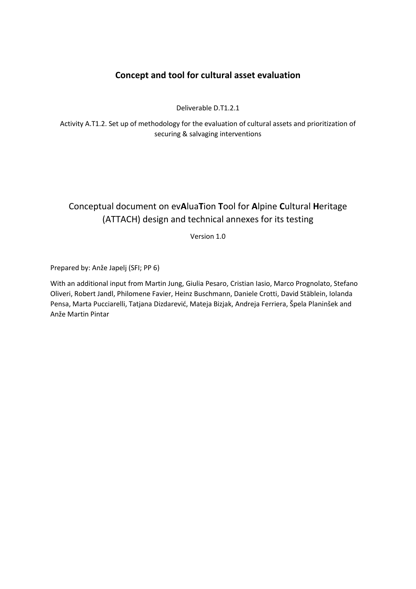## **Concept and tool for cultural asset evaluation**

Deliverable D.T1.2.1

Activity A.T1.2. Set up of methodology for the evaluation of cultural assets and prioritization of securing & salvaging interventions

# Conceptual document on ev**A**lua**T**ion **T**ool for **A**lpine **C**ultural **H**eritage (ATTACH) design and technical annexes for its testing

Version 1.0

Prepared by: Anže Japelj (SFI; PP 6)

With an additional input from Martin Jung, Giulia Pesaro, Cristian Iasio, Marco Prognolato, Stefano Oliveri, Robert Jandl, Philomene Favier, Heinz Buschmann, Daniele Crotti, David Stäblein, Iolanda Pensa, Marta Pucciarelli, Tatjana Dizdarević, Mateja Bizjak, Andreja Ferriera, Špela Planinšek and Anže Martin Pintar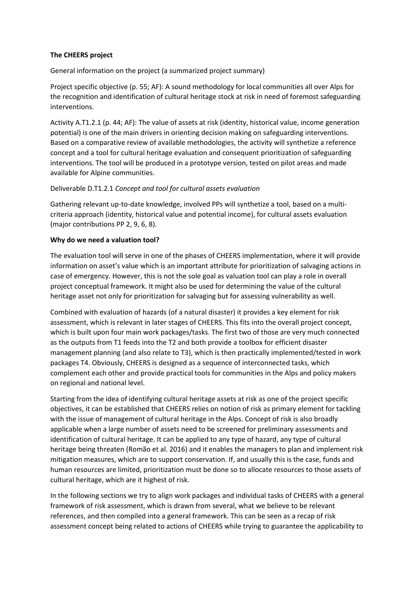#### **The CHEERS project**

General information on the project (a summarized project summary)

Project specific objective (p. 55; AF): A sound methodology for local communities all over Alps for the recognition and identification of cultural heritage stock at risk in need of foremost safeguarding interventions.

Activity A.T1.2.1 (p. 44; AF): The value of assets at risk (identity, historical value, income generation potential) is one of the main drivers in orienting decision making on safeguarding interventions. Based on a comparative review of available methodologies, the activity will synthetize a reference concept and a tool for cultural heritage evaluation and consequent prioritization of safeguarding interventions. The tool will be produced in a prototype version, tested on pilot areas and made available for Alpine communities.

#### Deliverable D.T1.2.1 *Concept and tool for cultural assets evaluation*

Gathering relevant up-to-date knowledge, involved PPs will synthetize a tool, based on a multicriteria approach (identity, historical value and potential income), for cultural assets evaluation (major contributions PP 2, 9, 6, 8).

#### **Why do we need a valuation tool?**

The evaluation tool will serve in one of the phases of CHEERS implementation, where it will provide information on asset's value which is an important attribute for prioritization of salvaging actions in case of emergency. However, this is not the sole goal as valuation tool can play a role in overall project conceptual framework. It might also be used for determining the value of the cultural heritage asset not only for prioritization for salvaging but for assessing vulnerability as well.

Combined with evaluation of hazards (of a natural disaster) it provides a key element for risk assessment, which is relevant in later stages of CHEERS. This fits into the overall project concept, which is built upon four main work packages/tasks. The first two of those are very much connected as the outputs from T1 feeds into the T2 and both provide a toolbox for efficient disaster management planning (and also relate to T3), which is then practically implemented/tested in work packages T4. Obviously, CHEERS is designed as a sequence of interconnected tasks, which complement each other and provide practical tools for communities in the Alps and policy makers on regional and national level.

Starting from the idea of identifying cultural heritage assets at risk as one of the project specific objectives, it can be established that CHEERS relies on notion of risk as primary element for tackling with the issue of management of cultural heritage in the Alps. Concept of risk is also broadly applicable when a large number of assets need to be screened for preliminary assessments and identification of cultural heritage. It can be applied to any type of hazard, any type of cultural heritage being threaten (Romão et al. 2016) and it enables the managers to plan and implement risk mitigation measures, which are to support conservation. If, and usually this is the case, funds and human resources are limited, prioritization must be done so to allocate resources to those assets of cultural heritage, which are it highest of risk.

In the following sections we try to align work packages and individual tasks of CHEERS with a general framework of risk assessment, which is drawn from several, what we believe to be relevant references, and then compiled into a general framework. This can be seen as a recap of risk assessment concept being related to actions of CHEERS while trying to guarantee the applicability to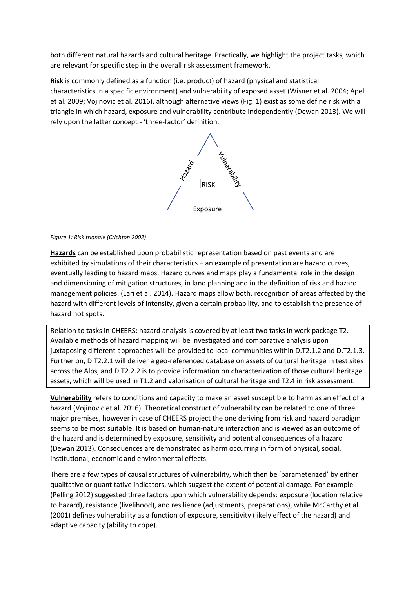both different natural hazards and cultural heritage. Practically, we highlight the project tasks, which are relevant for specific step in the overall risk assessment framework.

**Risk** is commonly defined as a function (i.e. product) of hazard (physical and statistical characteristics in a specific environment) and vulnerability of exposed asset (Wisner et al. 2004; Apel et al. 2009; Vojinovic et al. 2016), although alternative views (Fig. 1) exist as some define risk with a triangle in which hazard, exposure and vulnerability contribute independently (Dewan 2013). We will rely upon the latter concept - 'three-factor' definition.



#### *Figure 1: Risk triangle (Crichton 2002)*

**Hazards** can be established upon probabilistic representation based on past events and are exhibited by simulations of their characteristics – an example of presentation are hazard curves, eventually leading to hazard maps. Hazard curves and maps play a fundamental role in the design and dimensioning of mitigation structures, in land planning and in the definition of risk and hazard management policies. (Lari et al. 2014). Hazard maps allow both, recognition of areas affected by the hazard with different levels of intensity, given a certain probability, and to establish the presence of hazard hot spots.

Relation to tasks in CHEERS: hazard analysis is covered by at least two tasks in work package T2. Available methods of hazard mapping will be investigated and comparative analysis upon juxtaposing different approaches will be provided to local communities within D.T2.1.2 and D.T2.1.3. Further on, D.T2.2.1 will deliver a geo-referenced database on assets of cultural heritage in test sites across the Alps, and D.T2.2.2 is to provide information on characterization of those cultural heritage assets, which will be used in T1.2 and valorisation of cultural heritage and T2.4 in risk assessment.

**Vulnerability** refers to conditions and capacity to make an asset susceptible to harm as an effect of a hazard (Vojinovic et al. 2016). Theoretical construct of vulnerability can be related to one of three major premises, however in case of CHEERS project the one deriving from risk and hazard paradigm seems to be most suitable. It is based on human-nature interaction and is viewed as an outcome of the hazard and is determined by exposure, sensitivity and potential consequences of a hazard (Dewan 2013). Consequences are demonstrated as harm occurring in form of physical, social, institutional, economic and environmental effects.

There are a few types of causal structures of vulnerability, which then be 'parameterized' by either qualitative or quantitative indicators, which suggest the extent of potential damage. For example (Pelling 2012) suggested three factors upon which vulnerability depends: exposure (location relative to hazard), resistance (livelihood), and resilience (adjustments, preparations), while McCarthy et al. (2001) defines vulnerability as a function of exposure, sensitivity (likely effect of the hazard) and adaptive capacity (ability to cope).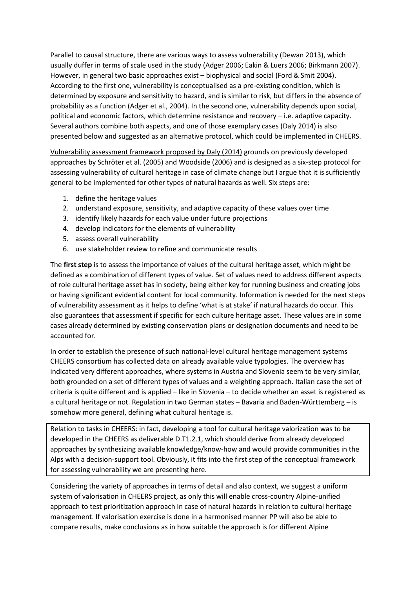Parallel to causal structure, there are various ways to assess vulnerability (Dewan 2013), which usually duffer in terms of scale used in the study (Adger 2006; Eakin & Luers 2006; Birkmann 2007). However, in general two basic approaches exist – biophysical and social (Ford & Smit 2004). According to the first one, vulnerability is conceptualised as a pre-existing condition, which is determined by exposure and sensitivity to hazard, and is similar to risk, but differs in the absence of probability as a function (Adger et al., 2004). In the second one, vulnerability depends upon social, political and economic factors, which determine resistance and recovery – i.e. adaptive capacity. Several authors combine both aspects, and one of those exemplary cases (Daly 2014) is also presented below and suggested as an alternative protocol, which could be implemented in CHEERS.

Vulnerability assessment framework proposed by Daly (2014) grounds on previously developed approaches by Schröter et al. (2005) and Woodside (2006) and is designed as a six-step protocol for assessing vulnerability of cultural heritage in case of climate change but I argue that it is sufficiently general to be implemented for other types of natural hazards as well. Six steps are:

- 1. define the heritage values
- 2. understand exposure, sensitivity, and adaptive capacity of these values over time
- 3. identify likely hazards for each value under future projections
- 4. develop indicators for the elements of vulnerability
- 5. assess overall vulnerability
- 6. use stakeholder review to refine and communicate results

The **first step** is to assess the importance of values of the cultural heritage asset, which might be defined as a combination of different types of value. Set of values need to address different aspects of role cultural heritage asset has in society, being either key for running business and creating jobs or having significant evidential content for local community. Information is needed for the next steps of vulnerability assessment as it helps to define 'what is at stake' if natural hazards do occur. This also guarantees that assessment if specific for each culture heritage asset. These values are in some cases already determined by existing conservation plans or designation documents and need to be accounted for.

In order to establish the presence of such national-level cultural heritage management systems CHEERS consortium has collected data on already available value typologies. The overview has indicated very different approaches, where systems in Austria and Slovenia seem to be very similar, both grounded on a set of different types of values and a weighting approach. Italian case the set of criteria is quite different and is applied – like in Slovenia – to decide whether an asset is registered as a cultural heritage or not. Regulation in two German states – Bavaria and Baden-Württemberg – is somehow more general, defining what cultural heritage is.

Relation to tasks in CHEERS: in fact, developing a tool for cultural heritage valorization was to be developed in the CHEERS as deliverable D.T1.2.1, which should derive from already developed approaches by synthesizing available knowledge/know-how and would provide communities in the Alps with a decision-support tool. Obviously, it fits into the first step of the conceptual framework for assessing vulnerability we are presenting here.

Considering the variety of approaches in terms of detail and also context, we suggest a uniform system of valorisation in CHEERS project, as only this will enable cross-country Alpine-unified approach to test prioritization approach in case of natural hazards in relation to cultural heritage management. If valorisation exercise is done in a harmonised manner PP will also be able to compare results, make conclusions as in how suitable the approach is for different Alpine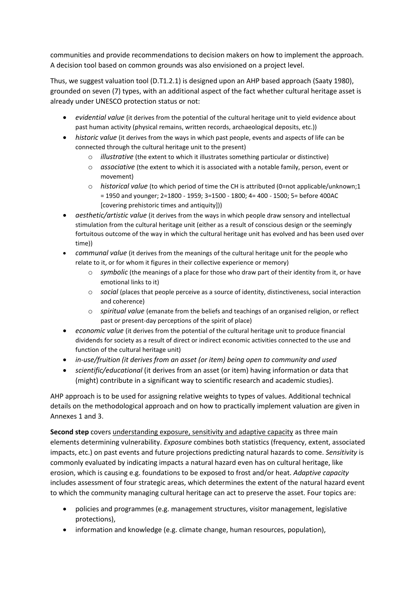communities and provide recommendations to decision makers on how to implement the approach. A decision tool based on common grounds was also envisioned on a project level.

Thus, we suggest valuation tool (D.T1.2.1) is designed upon an AHP based approach (Saaty 1980), grounded on seven (7) types, with an additional aspect of the fact whether cultural heritage asset is already under UNESCO protection status or not:

- *evidential value* (it derives from the potential of the cultural heritage unit to yield evidence about past human activity (physical remains, written records, archaeological deposits, etc.))
- *historic value* (it derives from the ways in which past people, events and aspects of life can be connected through the cultural heritage unit to the present)
	- o *illustrative* (the extent to which it illustrates something particular or distinctive)
	- o *associative* (the extent to which it is associated with a notable family, person, event or movement)
	- o *historical value* (to which period of time the CH is attributed (0=not applicable/unknown;1 = 1950 and younger; 2=1800 - 1959; 3=1500 - 1800; 4= 400 - 1500; 5= before 400AC [covering prehistoric times and antiquity]))
- *aesthetic/artistic value* (it derives from the ways in which people draw sensory and intellectual stimulation from the cultural heritage unit (either as a result of conscious design or the seemingly fortuitous outcome of the way in which the cultural heritage unit has evolved and has been used over time))
- *communal value* (it derives from the meanings of the cultural heritage unit for the people who relate to it, or for whom it figures in their collective experience or memory)
	- o *symbolic* (the meanings of a place for those who draw part of their identity from it, or have emotional links to it)
	- o *social* (places that people perceive as a source of identity, distinctiveness, social interaction and coherence)
	- o *spiritual value* (emanate from the beliefs and teachings of an organised religion, or reflect past or present-day perceptions of the spirit of place)
- *economic value* (it derives from the potential of the cultural heritage unit to produce financial dividends for society as a result of direct or indirect economic activities connected to the use and function of the cultural heritage unit)
- *in-use/fruition (it derives from an asset (or item) being open to community and used*
- *scientific/educational* (it derives from an asset (or item) having information or data that (might) contribute in a significant way to scientific research and academic studies).

AHP approach is to be used for assigning relative weights to types of values. Additional technical details on the methodological approach and on how to practically implement valuation are given in Annexes 1 and 3.

**Second step** covers understanding exposure, sensitivity and adaptive capacity as three main elements determining vulnerability. *Exposure* combines both statistics (frequency, extent, associated impacts, etc.) on past events and future projections predicting natural hazards to come. *Sensitivity* is commonly evaluated by indicating impacts a natural hazard even has on cultural heritage, like erosion, which is causing e.g. foundations to be exposed to frost and/or heat. *Adaptive capacity* includes assessment of four strategic areas, which determines the extent of the natural hazard event to which the community managing cultural heritage can act to preserve the asset. Four topics are:

- policies and programmes (e.g. management structures, visitor management, legislative protections),
- information and knowledge (e.g. climate change, human resources, population),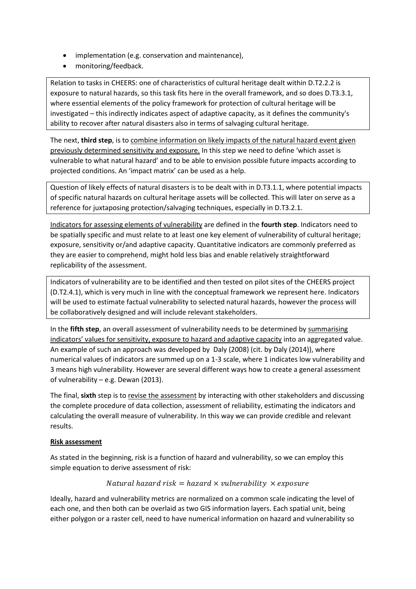- implementation (e.g. conservation and maintenance),
- monitoring/feedback.

Relation to tasks in CHEERS: one of characteristics of cultural heritage dealt within D.T2.2.2 is exposure to natural hazards, so this task fits here in the overall framework, and so does D.T3.3.1, where essential elements of the policy framework for protection of cultural heritage will be investigated – this indirectly indicates aspect of adaptive capacity, as it defines the community's ability to recover after natural disasters also in terms of salvaging cultural heritage.

The next, **third step**, is to combine information on likely impacts of the natural hazard event given previously determined sensitivity and exposure. In this step we need to define 'which asset is vulnerable to what natural hazard' and to be able to envision possible future impacts according to projected conditions. An 'impact matrix' can be used as a help.

Question of likely effects of natural disasters is to be dealt with in D.T3.1.1, where potential impacts of specific natural hazards on cultural heritage assets will be collected. This will later on serve as a reference for juxtaposing protection/salvaging techniques, especially in D.T3.2.1.

Indicators for assessing elements of vulnerability are defined in the **fourth step**. Indicators need to be spatially specific and must relate to at least one key element of vulnerability of cultural heritage; exposure, sensitivity or/and adaptive capacity. Quantitative indicators are commonly preferred as they are easier to comprehend, might hold less bias and enable relatively straightforward replicability of the assessment.

Indicators of vulnerability are to be identified and then tested on pilot sites of the CHEERS project (D.T2.4.1), which is very much in line with the conceptual framework we represent here. Indicators will be used to estimate factual vulnerability to selected natural hazards, however the process will be collaboratively designed and will include relevant stakeholders.

In the **fifth step**, an overall assessment of vulnerability needs to be determined by summarising indicators' values for sensitivity, exposure to hazard and adaptive capacity into an aggregated value. An example of such an approach was developed by Daly (2008) (cit. by Daly (2014)), where numerical values of indicators are summed up on a 1-3 scale, where 1 indicates low vulnerability and 3 means high vulnerability. However are several different ways how to create a general assessment of vulnerability – e.g. Dewan (2013).

The final, **sixth** step is to revise the assessment by interacting with other stakeholders and discussing the complete procedure of data collection, assessment of reliability, estimating the indicators and calculating the overall measure of vulnerability. In this way we can provide credible and relevant results.

#### **Risk assessment**

As stated in the beginning, risk is a function of hazard and vulnerability, so we can employ this simple equation to derive assessment of risk:

### Natural hazard risk = hazard  $\times$  vulnerability  $\times$  exposure

Ideally, hazard and vulnerability metrics are normalized on a common scale indicating the level of each one, and then both can be overlaid as two GIS information layers. Each spatial unit, being either polygon or a raster cell, need to have numerical information on hazard and vulnerability so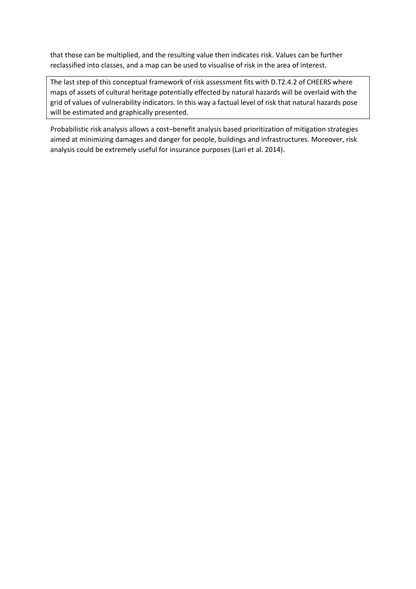that those can be multiplied, and the resulting value then indicates risk. Values can be further reclassified into classes, and a map can be used to visualise of risk in the area of interest.

The last step of this conceptual framework of risk assessment fits with D.T2.4.2 of CHEERS where maps of assets of cultural heritage potentially effected by natural hazards will be overlaid with the grid of values of vulnerability indicators. In this way a factual level of risk that natural hazards pose will be estimated and graphically presented.

Probabilistic risk analysis allows a cost–benefit analysis based prioritization of mitigation strategies aimed at minimizing damages and danger for people, buildings and infrastructures. Moreover, risk analysis could be extremely useful for insurance purposes (Lari et al. 2014).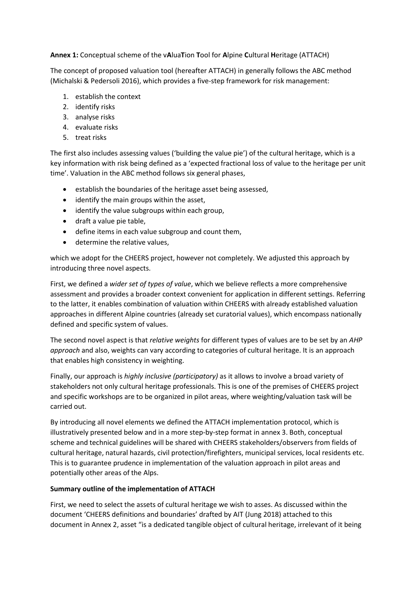**Annex 1:** Conceptual scheme of the v**A**lua**T**ion **T**ool for **A**lpine **C**ultural **H**eritage (ATTACH)

The concept of proposed valuation tool (hereafter ATTACH) in generally follows the ABC method (Michalski & Pedersoli 2016), which provides a five-step framework for risk management:

- 1. establish the context
- 2. identify risks
- 3. analyse risks
- 4. evaluate risks
- 5. treat risks

The first also includes assessing values ('building the value pie') of the cultural heritage, which is a key information with risk being defined as a 'expected fractional loss of value to the heritage per unit time'. Valuation in the ABC method follows six general phases,

- establish the boundaries of the heritage asset being assessed,
- identify the main groups within the asset,
- identify the value subgroups within each group,
- draft a value pie table,
- define items in each value subgroup and count them,
- determine the relative values,

which we adopt for the CHEERS project, however not completely. We adjusted this approach by introducing three novel aspects.

First, we defined a *wider set of types of value*, which we believe reflects a more comprehensive assessment and provides a broader context convenient for application in different settings. Referring to the latter, it enables combination of valuation within CHEERS with already established valuation approaches in different Alpine countries (already set curatorial values), which encompass nationally defined and specific system of values.

The second novel aspect is that *relative weights* for different types of values are to be set by an *AHP approach* and also, weights can vary according to categories of cultural heritage. It is an approach that enables high consistency in weighting.

Finally, our approach is *highly inclusive (participatory)* as it allows to involve a broad variety of stakeholders not only cultural heritage professionals. This is one of the premises of CHEERS project and specific workshops are to be organized in pilot areas, where weighting/valuation task will be carried out.

By introducing all novel elements we defined the ATTACH implementation protocol, which is illustratively presented below and in a more step-by-step format in annex 3. Both, conceptual scheme and technical guidelines will be shared with CHEERS stakeholders/observers from fields of cultural heritage, natural hazards, civil protection/firefighters, municipal services, local residents etc. This is to guarantee prudence in implementation of the valuation approach in pilot areas and potentially other areas of the Alps.

#### **Summary outline of the implementation of ATTACH**

First, we need to select the assets of cultural heritage we wish to asses. As discussed within the document 'CHEERS definitions and boundaries' drafted by AIT (Jung 2018) attached to this document in Annex 2, asset "is a dedicated tangible object of cultural heritage, irrelevant of it being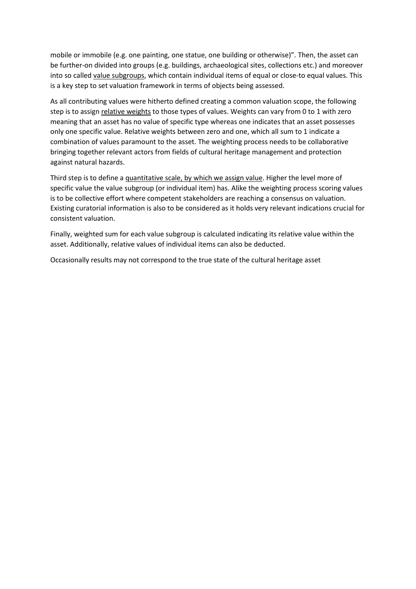mobile or immobile (e.g. one painting, one statue, one building or otherwise)". Then, the asset can be further-on divided into groups (e.g. buildings, archaeological sites, collections etc.) and moreover into so called value subgroups, which contain individual items of equal or close-to equal values. This is a key step to set valuation framework in terms of objects being assessed.

As all contributing values were hitherto defined creating a common valuation scope, the following step is to assign relative weights to those types of values. Weights can vary from 0 to 1 with zero meaning that an asset has no value of specific type whereas one indicates that an asset possesses only one specific value. Relative weights between zero and one, which all sum to 1 indicate a combination of values paramount to the asset. The weighting process needs to be collaborative bringing together relevant actors from fields of cultural heritage management and protection against natural hazards.

Third step is to define a quantitative scale, by which we assign value. Higher the level more of specific value the value subgroup (or individual item) has. Alike the weighting process scoring values is to be collective effort where competent stakeholders are reaching a consensus on valuation. Existing curatorial information is also to be considered as it holds very relevant indications crucial for consistent valuation.

Finally, weighted sum for each value subgroup is calculated indicating its relative value within the asset. Additionally, relative values of individual items can also be deducted.

Occasionally results may not correspond to the true state of the cultural heritage asset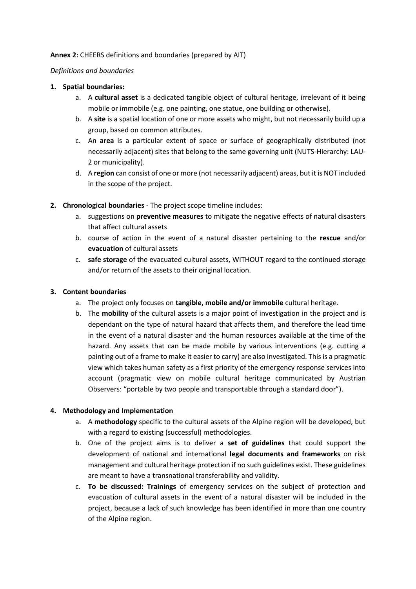#### **Annex 2:** CHEERS definitions and boundaries (prepared by AIT)

#### *Definitions and boundaries*

#### **1. Spatial boundaries:**

- a. A **cultural asset** is a dedicated tangible object of cultural heritage, irrelevant of it being mobile or immobile (e.g. one painting, one statue, one building or otherwise).
- b. A **site** is a spatial location of one or more assets who might, but not necessarily build up a group, based on common attributes.
- c. An **area** is a particular extent of space or surface of geographically distributed (not necessarily adjacent) sites that belong to the same governing unit (NUTS-Hierarchy: LAU-2 or municipality).
- d. A **region** can consist of one or more (not necessarily adjacent) areas, but it is NOT included in the scope of the project.
- **2. Chronological boundaries**  The project scope timeline includes:
	- a. suggestions on **preventive measures** to mitigate the negative effects of natural disasters that affect cultural assets
	- b. course of action in the event of a natural disaster pertaining to the **rescue** and/or **evacuation** of cultural assets
	- c. **safe storage** of the evacuated cultural assets, WITHOUT regard to the continued storage and/or return of the assets to their original location.

#### **3. Content boundaries**

- a. The project only focuses on **tangible, mobile and/or immobile** cultural heritage.
- b. The **mobility** of the cultural assets is a major point of investigation in the project and is dependant on the type of natural hazard that affects them, and therefore the lead time in the event of a natural disaster and the human resources available at the time of the hazard. Any assets that can be made mobile by various interventions (e.g. cutting a painting out of a frame to make it easier to carry) are also investigated. This is a pragmatic view which takes human safety as a first priority of the emergency response services into account (pragmatic view on mobile cultural heritage communicated by Austrian Observers: "portable by two people and transportable through a standard door").

#### **4. Methodology and Implementation**

- a. A **methodology** specific to the cultural assets of the Alpine region will be developed, but with a regard to existing (successful) methodologies.
- b. One of the project aims is to deliver a **set of guidelines** that could support the development of national and international **legal documents and frameworks** on risk management and cultural heritage protection if no such guidelines exist. These guidelines are meant to have a transnational transferability and validity.
- c. **To be discussed: Trainings** of emergency services on the subject of protection and evacuation of cultural assets in the event of a natural disaster will be included in the project, because a lack of such knowledge has been identified in more than one country of the Alpine region.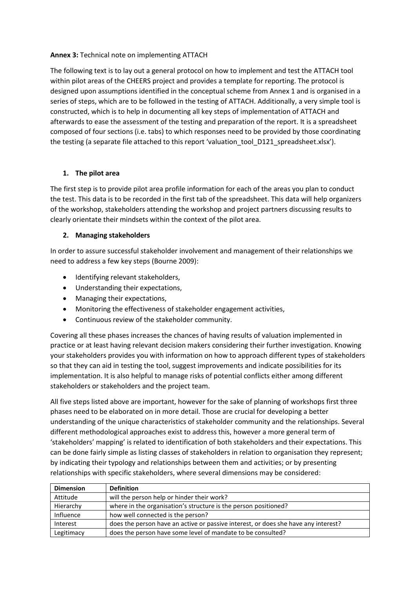#### **Annex 3:** Technical note on implementing ATTACH

The following text is to lay out a general protocol on how to implement and test the ATTACH tool within pilot areas of the CHEERS project and provides a template for reporting. The protocol is designed upon assumptions identified in the conceptual scheme from Annex 1 and is organised in a series of steps, which are to be followed in the testing of ATTACH. Additionally, a very simple tool is constructed, which is to help in documenting all key steps of implementation of ATTACH and afterwards to ease the assessment of the testing and preparation of the report. It is a spreadsheet composed of four sections (i.e. tabs) to which responses need to be provided by those coordinating the testing (a separate file attached to this report 'valuation tool D121 spreadsheet.xlsx').

#### **1. The pilot area**

The first step is to provide pilot area profile information for each of the areas you plan to conduct the test. This data is to be recorded in the first tab of the spreadsheet. This data will help organizers of the workshop, stakeholders attending the workshop and project partners discussing results to clearly orientate their mindsets within the context of the pilot area.

#### **2. Managing stakeholders**

In order to assure successful stakeholder involvement and management of their relationships we need to address a few key steps (Bourne 2009):

- Identifying relevant stakeholders,
- Understanding their expectations,
- Managing their expectations,
- Monitoring the effectiveness of stakeholder engagement activities,
- Continuous review of the stakeholder community.

Covering all these phases increases the chances of having results of valuation implemented in practice or at least having relevant decision makers considering their further investigation. Knowing your stakeholders provides you with information on how to approach different types of stakeholders so that they can aid in testing the tool, suggest improvements and indicate possibilities for its implementation. It is also helpful to manage risks of potential conflicts either among different stakeholders or stakeholders and the project team.

All five steps listed above are important, however for the sake of planning of workshops first three phases need to be elaborated on in more detail. Those are crucial for developing a better understanding of the unique characteristics of stakeholder community and the relationships. Several different methodological approaches exist to address this, however a more general term of 'stakeholders' mapping' is related to identification of both stakeholders and their expectations. This can be done fairly simple as listing classes of stakeholders in relation to organisation they represent; by indicating their typology and relationships between them and activities; or by presenting relationships with specific stakeholders, where several dimensions may be considered:

| <b>Dimension</b> | <b>Definition</b>                                                                  |
|------------------|------------------------------------------------------------------------------------|
| Attitude         | will the person help or hinder their work?                                         |
| Hierarchy        | where in the organisation's structure is the person positioned?                    |
| Influence        | how well connected is the person?                                                  |
| Interest         | does the person have an active or passive interest, or does she have any interest? |
| Legitimacy       | does the person have some level of mandate to be consulted?                        |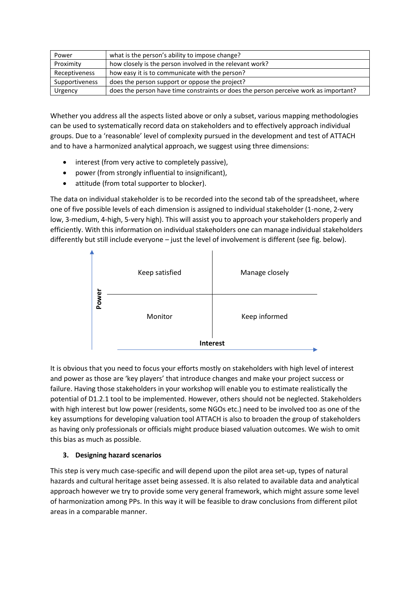| Power          | what is the person's ability to impose change?                                       |
|----------------|--------------------------------------------------------------------------------------|
| Proximity      | how closely is the person involved in the relevant work?                             |
| Receptiveness  | how easy it is to communicate with the person?                                       |
| Supportiveness | does the person support or oppose the project?                                       |
| Urgency        | does the person have time constraints or does the person perceive work as important? |

Whether you address all the aspects listed above or only a subset, various mapping methodologies can be used to systematically record data on stakeholders and to effectively approach individual groups. Due to a 'reasonable' level of complexity pursued in the development and test of ATTACH and to have a harmonized analytical approach, we suggest using three dimensions:

- interest (from very active to completely passive),
- power (from strongly influential to insignificant),
- attitude (from total supporter to blocker).

The data on individual stakeholder is to be recorded into the second tab of the spreadsheet, where one of five possible levels of each dimension is assigned to individual stakeholder (1-none, 2-very low, 3-medium, 4-high, 5-very high). This will assist you to approach your stakeholders properly and efficiently. With this information on individual stakeholders one can manage individual stakeholders differently but still include everyone – just the level of involvement is different (see fig. below).



It is obvious that you need to focus your efforts mostly on stakeholders with high level of interest and power as those are 'key players' that introduce changes and make your project success or failure. Having those stakeholders in your workshop will enable you to estimate realistically the potential of D1.2.1 tool to be implemented. However, others should not be neglected. Stakeholders with high interest but low power (residents, some NGOs etc.) need to be involved too as one of the key assumptions for developing valuation tool ATTACH is also to broaden the group of stakeholders as having only professionals or officials might produce biased valuation outcomes. We wish to omit this bias as much as possible.

#### **3. Designing hazard scenarios**

This step is very much case-specific and will depend upon the pilot area set-up, types of natural hazards and cultural heritage asset being assessed. It is also related to available data and analytical approach however we try to provide some very general framework, which might assure some level of harmonization among PPs. In this way it will be feasible to draw conclusions from different pilot areas in a comparable manner.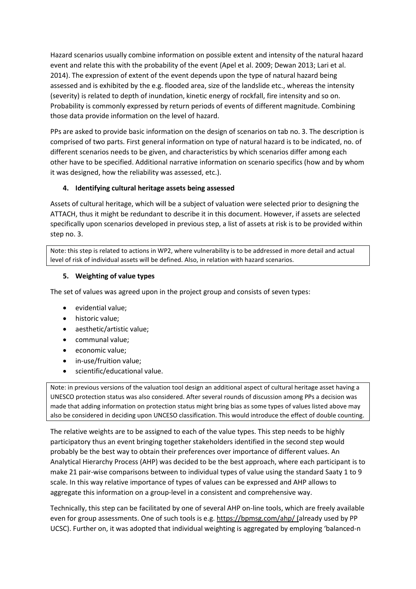Hazard scenarios usually combine information on possible extent and intensity of the natural hazard event and relate this with the probability of the event (Apel et al. 2009; Dewan 2013; Lari et al. 2014). The expression of extent of the event depends upon the type of natural hazard being assessed and is exhibited by the e.g. flooded area, size of the landslide etc., whereas the intensity (severity) is related to depth of inundation, kinetic energy of rockfall, fire intensity and so on. Probability is commonly expressed by return periods of events of different magnitude. Combining those data provide information on the level of hazard.

PPs are asked to provide basic information on the design of scenarios on tab no. 3. The description is comprised of two parts. First general information on type of natural hazard is to be indicated, no. of different scenarios needs to be given, and characteristics by which scenarios differ among each other have to be specified. Additional narrative information on scenario specifics (how and by whom it was designed, how the reliability was assessed, etc.).

#### **4. Identifying cultural heritage assets being assessed**

Assets of cultural heritage, which will be a subject of valuation were selected prior to designing the ATTACH, thus it might be redundant to describe it in this document. However, if assets are selected specifically upon scenarios developed in previous step, a list of assets at risk is to be provided within step no. 3.

Note: this step is related to actions in WP2, where vulnerability is to be addressed in more detail and actual level of risk of individual assets will be defined. Also, in relation with hazard scenarios.

#### **5. Weighting of value types**

The set of values was agreed upon in the project group and consists of seven types:

- evidential value;
- historic value;
- aesthetic/artistic value;
- communal value;
- economic value;
- in-use/fruition value;
- scientific/educational value.

Note: in previous versions of the valuation tool design an additional aspect of cultural heritage asset having a UNESCO protection status was also considered. After several rounds of discussion among PPs a decision was made that adding information on protection status might bring bias as some types of values listed above may also be considered in deciding upon UNCESO classification. This would introduce the effect of double counting.

The relative weights are to be assigned to each of the value types. This step needs to be highly participatory thus an event bringing together stakeholders identified in the second step would probably be the best way to obtain their preferences over importance of different values. An Analytical Hierarchy Process (AHP) was decided to be the best approach, where each participant is to make 21 pair-wise comparisons between to individual types of value using the standard Saaty 1 to 9 scale. In this way relative importance of types of values can be expressed and AHP allows to aggregate this information on a group-level in a consistent and comprehensive way.

Technically, this step can be facilitated by one of several AHP on-line tools, which are freely available even for group assessments. One of such tools is e.g.<https://bpmsg.com/ahp/> (already used by PP UCSC). Further on, it was adopted that individual weighting is aggregated by employing 'balanced-n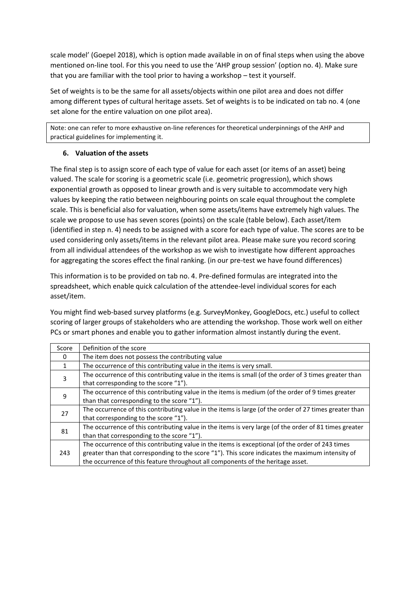scale model' (Goepel 2018), which is option made available in on of final steps when using the above mentioned on-line tool. For this you need to use the 'AHP group session' (option no. 4). Make sure that you are familiar with the tool prior to having a workshop – test it yourself.

Set of weights is to be the same for all assets/objects within one pilot area and does not differ among different types of cultural heritage assets. Set of weights is to be indicated on tab no. 4 (one set alone for the entire valuation on one pilot area).

Note: one can refer to more exhaustive on-line references for theoretical underpinnings of the AHP and practical guidelines for implementing it.

#### **6. Valuation of the assets**

The final step is to assign score of each type of value for each asset (or items of an asset) being valued. The scale for scoring is a geometric scale (i.e. geometric progression), which shows exponential growth as opposed to linear growth and is very suitable to accommodate very high values by keeping the ratio between neighbouring points on scale equal throughout the complete scale. This is beneficial also for valuation, when some assets/items have extremely high values. The scale we propose to use has seven scores (points) on the scale (table below). Each asset/item (identified in step n. 4) needs to be assigned with a score for each type of value. The scores are to be used considering only assets/items in the relevant pilot area. Please make sure you record scoring from all individual attendees of the workshop as we wish to investigate how different approaches for aggregating the scores effect the final ranking. (in our pre-test we have found differences)

This information is to be provided on tab no. 4. Pre-defined formulas are integrated into the spreadsheet, which enable quick calculation of the attendee-level individual scores for each asset/item.

You might find web-based survey platforms (e.g. SurveyMonkey, GoogleDocs, etc.) useful to collect scoring of larger groups of stakeholders who are attending the workshop. Those work well on either PCs or smart phones and enable you to gather information almost instantly during the event.

| Score    | Definition of the score                                                                                |
|----------|--------------------------------------------------------------------------------------------------------|
| $\Omega$ | The item does not possess the contributing value                                                       |
| 1        | The occurrence of this contributing value in the items is very small.                                  |
| 3        | The occurrence of this contributing value in the items is small (of the order of 3 times greater than  |
|          | that corresponding to the score "1").                                                                  |
| 9        | The occurrence of this contributing value in the items is medium (of the order of 9 times greater      |
|          | than that corresponding to the score "1").                                                             |
| 27       | The occurrence of this contributing value in the items is large (of the order of 27 times greater than |
|          | that corresponding to the score "1").                                                                  |
| 81       | The occurrence of this contributing value in the items is very large (of the order of 81 times greater |
|          | than that corresponding to the score "1").                                                             |
| 243      | The occurrence of this contributing value in the items is exceptional (of the order of 243 times       |
|          | greater than that corresponding to the score "1"). This score indicates the maximum intensity of       |
|          | the occurrence of this feature throughout all components of the heritage asset.                        |